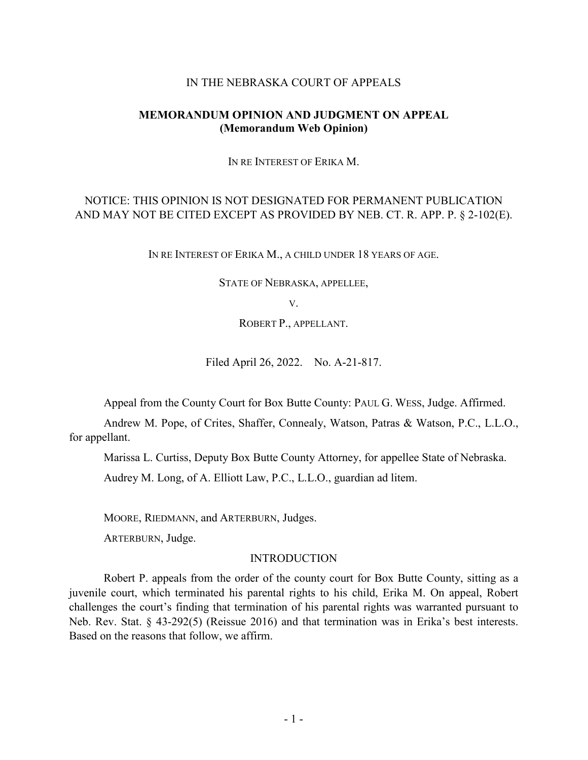#### IN THE NEBRASKA COURT OF APPEALS

### **MEMORANDUM OPINION AND JUDGMENT ON APPEAL (Memorandum Web Opinion)**

IN RE INTEREST OF ERIKA M.

# NOTICE: THIS OPINION IS NOT DESIGNATED FOR PERMANENT PUBLICATION AND MAY NOT BE CITED EXCEPT AS PROVIDED BY NEB. CT. R. APP. P. § 2-102(E).

IN RE INTEREST OF ERIKA M., A CHILD UNDER 18 YEARS OF AGE.

STATE OF NEBRASKA, APPELLEE,

V.

ROBERT P., APPELLANT.

Filed April 26, 2022. No. A-21-817.

Appeal from the County Court for Box Butte County: PAUL G. WESS, Judge. Affirmed.

Andrew M. Pope, of Crites, Shaffer, Connealy, Watson, Patras & Watson, P.C., L.L.O., for appellant.

Marissa L. Curtiss, Deputy Box Butte County Attorney, for appellee State of Nebraska.

Audrey M. Long, of A. Elliott Law, P.C., L.L.O., guardian ad litem.

MOORE, RIEDMANN, and ARTERBURN, Judges.

ARTERBURN, Judge.

#### INTRODUCTION

Robert P. appeals from the order of the county court for Box Butte County, sitting as a juvenile court, which terminated his parental rights to his child, Erika M. On appeal, Robert challenges the court's finding that termination of his parental rights was warranted pursuant to Neb. Rev. Stat. § 43-292(5) (Reissue 2016) and that termination was in Erika's best interests. Based on the reasons that follow, we affirm.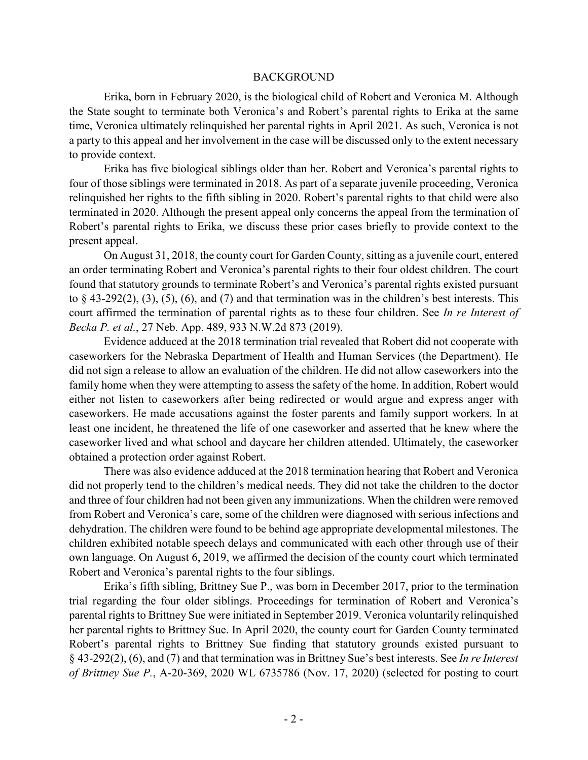#### BACKGROUND

Erika, born in February 2020, is the biological child of Robert and Veronica M. Although the State sought to terminate both Veronica's and Robert's parental rights to Erika at the same time, Veronica ultimately relinquished her parental rights in April 2021. As such, Veronica is not a party to this appeal and her involvement in the case will be discussed only to the extent necessary to provide context.

Erika has five biological siblings older than her. Robert and Veronica's parental rights to four of those siblings were terminated in 2018. As part of a separate juvenile proceeding, Veronica relinquished her rights to the fifth sibling in 2020. Robert's parental rights to that child were also terminated in 2020. Although the present appeal only concerns the appeal from the termination of Robert's parental rights to Erika, we discuss these prior cases briefly to provide context to the present appeal.

On August 31, 2018, the county court for Garden County, sitting as a juvenile court, entered an order terminating Robert and Veronica's parental rights to their four oldest children. The court found that statutory grounds to terminate Robert's and Veronica's parental rights existed pursuant to  $\S$  43-292(2), (3), (5), (6), and (7) and that termination was in the children's best interests. This court affirmed the termination of parental rights as to these four children. See *In re Interest of Becka P. et al.*, 27 Neb. App. 489, 933 N.W.2d 873 (2019).

Evidence adduced at the 2018 termination trial revealed that Robert did not cooperate with caseworkers for the Nebraska Department of Health and Human Services (the Department). He did not sign a release to allow an evaluation of the children. He did not allow caseworkers into the family home when they were attempting to assess the safety of the home. In addition, Robert would either not listen to caseworkers after being redirected or would argue and express anger with caseworkers. He made accusations against the foster parents and family support workers. In at least one incident, he threatened the life of one caseworker and asserted that he knew where the caseworker lived and what school and daycare her children attended. Ultimately, the caseworker obtained a protection order against Robert.

There was also evidence adduced at the 2018 termination hearing that Robert and Veronica did not properly tend to the children's medical needs. They did not take the children to the doctor and three of four children had not been given any immunizations. When the children were removed from Robert and Veronica's care, some of the children were diagnosed with serious infections and dehydration. The children were found to be behind age appropriate developmental milestones. The children exhibited notable speech delays and communicated with each other through use of their own language. On August 6, 2019, we affirmed the decision of the county court which terminated Robert and Veronica's parental rights to the four siblings.

Erika's fifth sibling, Brittney Sue P., was born in December 2017, prior to the termination trial regarding the four older siblings. Proceedings for termination of Robert and Veronica's parental rights to Brittney Sue were initiated in September 2019. Veronica voluntarily relinquished her parental rights to Brittney Sue. In April 2020, the county court for Garden County terminated Robert's parental rights to Brittney Sue finding that statutory grounds existed pursuant to § 43-292(2), (6), and (7) and that termination was in Brittney Sue's best interests. See *In re Interest of Brittney Sue P.*, A-20-369, 2020 WL 6735786 (Nov. 17, 2020) (selected for posting to court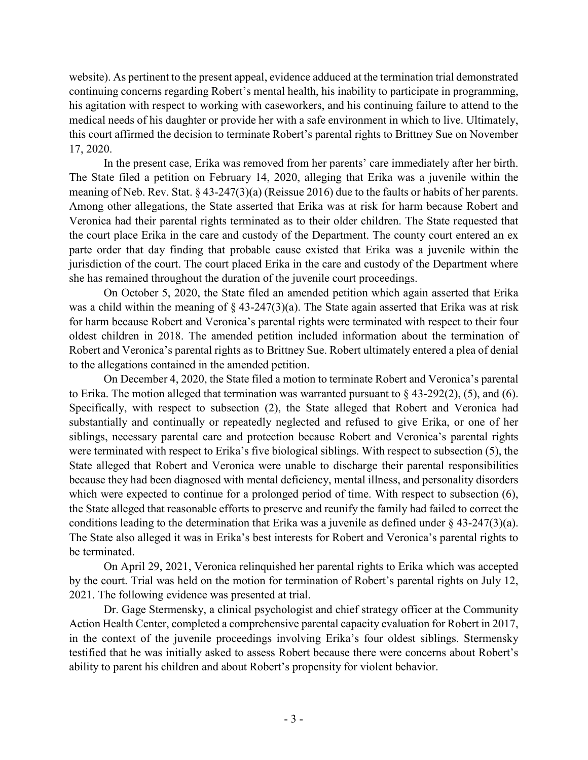website). As pertinent to the present appeal, evidence adduced at the termination trial demonstrated continuing concerns regarding Robert's mental health, his inability to participate in programming, his agitation with respect to working with caseworkers, and his continuing failure to attend to the medical needs of his daughter or provide her with a safe environment in which to live. Ultimately, this court affirmed the decision to terminate Robert's parental rights to Brittney Sue on November 17, 2020.

In the present case, Erika was removed from her parents' care immediately after her birth. The State filed a petition on February 14, 2020, alleging that Erika was a juvenile within the meaning of Neb. Rev. Stat. § 43-247(3)(a) (Reissue 2016) due to the faults or habits of her parents. Among other allegations, the State asserted that Erika was at risk for harm because Robert and Veronica had their parental rights terminated as to their older children. The State requested that the court place Erika in the care and custody of the Department. The county court entered an ex parte order that day finding that probable cause existed that Erika was a juvenile within the jurisdiction of the court. The court placed Erika in the care and custody of the Department where she has remained throughout the duration of the juvenile court proceedings.

On October 5, 2020, the State filed an amended petition which again asserted that Erika was a child within the meaning of § 43-247(3)(a). The State again asserted that Erika was at risk for harm because Robert and Veronica's parental rights were terminated with respect to their four oldest children in 2018. The amended petition included information about the termination of Robert and Veronica's parental rights as to Brittney Sue. Robert ultimately entered a plea of denial to the allegations contained in the amended petition.

On December 4, 2020, the State filed a motion to terminate Robert and Veronica's parental to Erika. The motion alleged that termination was warranted pursuant to  $\S$  43-292(2), (5), and (6). Specifically, with respect to subsection (2), the State alleged that Robert and Veronica had substantially and continually or repeatedly neglected and refused to give Erika, or one of her siblings, necessary parental care and protection because Robert and Veronica's parental rights were terminated with respect to Erika's five biological siblings. With respect to subsection (5), the State alleged that Robert and Veronica were unable to discharge their parental responsibilities because they had been diagnosed with mental deficiency, mental illness, and personality disorders which were expected to continue for a prolonged period of time. With respect to subsection  $(6)$ , the State alleged that reasonable efforts to preserve and reunify the family had failed to correct the conditions leading to the determination that Erika was a juvenile as defined under  $\S$  43-247(3)(a). The State also alleged it was in Erika's best interests for Robert and Veronica's parental rights to be terminated.

On April 29, 2021, Veronica relinquished her parental rights to Erika which was accepted by the court. Trial was held on the motion for termination of Robert's parental rights on July 12, 2021. The following evidence was presented at trial.

Dr. Gage Stermensky, a clinical psychologist and chief strategy officer at the Community Action Health Center, completed a comprehensive parental capacity evaluation for Robert in 2017, in the context of the juvenile proceedings involving Erika's four oldest siblings. Stermensky testified that he was initially asked to assess Robert because there were concerns about Robert's ability to parent his children and about Robert's propensity for violent behavior.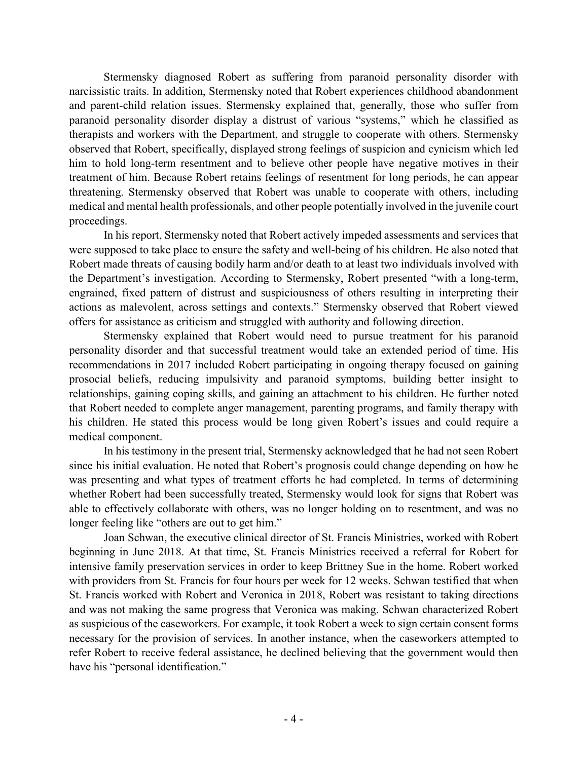Stermensky diagnosed Robert as suffering from paranoid personality disorder with narcissistic traits. In addition, Stermensky noted that Robert experiences childhood abandonment and parent-child relation issues. Stermensky explained that, generally, those who suffer from paranoid personality disorder display a distrust of various "systems," which he classified as therapists and workers with the Department, and struggle to cooperate with others. Stermensky observed that Robert, specifically, displayed strong feelings of suspicion and cynicism which led him to hold long-term resentment and to believe other people have negative motives in their treatment of him. Because Robert retains feelings of resentment for long periods, he can appear threatening. Stermensky observed that Robert was unable to cooperate with others, including medical and mental health professionals, and other people potentially involved in the juvenile court proceedings.

In his report, Stermensky noted that Robert actively impeded assessments and services that were supposed to take place to ensure the safety and well-being of his children. He also noted that Robert made threats of causing bodily harm and/or death to at least two individuals involved with the Department's investigation. According to Stermensky, Robert presented "with a long-term, engrained, fixed pattern of distrust and suspiciousness of others resulting in interpreting their actions as malevolent, across settings and contexts." Stermensky observed that Robert viewed offers for assistance as criticism and struggled with authority and following direction.

Stermensky explained that Robert would need to pursue treatment for his paranoid personality disorder and that successful treatment would take an extended period of time. His recommendations in 2017 included Robert participating in ongoing therapy focused on gaining prosocial beliefs, reducing impulsivity and paranoid symptoms, building better insight to relationships, gaining coping skills, and gaining an attachment to his children. He further noted that Robert needed to complete anger management, parenting programs, and family therapy with his children. He stated this process would be long given Robert's issues and could require a medical component.

In his testimony in the present trial, Stermensky acknowledged that he had not seen Robert since his initial evaluation. He noted that Robert's prognosis could change depending on how he was presenting and what types of treatment efforts he had completed. In terms of determining whether Robert had been successfully treated, Stermensky would look for signs that Robert was able to effectively collaborate with others, was no longer holding on to resentment, and was no longer feeling like "others are out to get him."

Joan Schwan, the executive clinical director of St. Francis Ministries, worked with Robert beginning in June 2018. At that time, St. Francis Ministries received a referral for Robert for intensive family preservation services in order to keep Brittney Sue in the home. Robert worked with providers from St. Francis for four hours per week for 12 weeks. Schwan testified that when St. Francis worked with Robert and Veronica in 2018, Robert was resistant to taking directions and was not making the same progress that Veronica was making. Schwan characterized Robert as suspicious of the caseworkers. For example, it took Robert a week to sign certain consent forms necessary for the provision of services. In another instance, when the caseworkers attempted to refer Robert to receive federal assistance, he declined believing that the government would then have his "personal identification."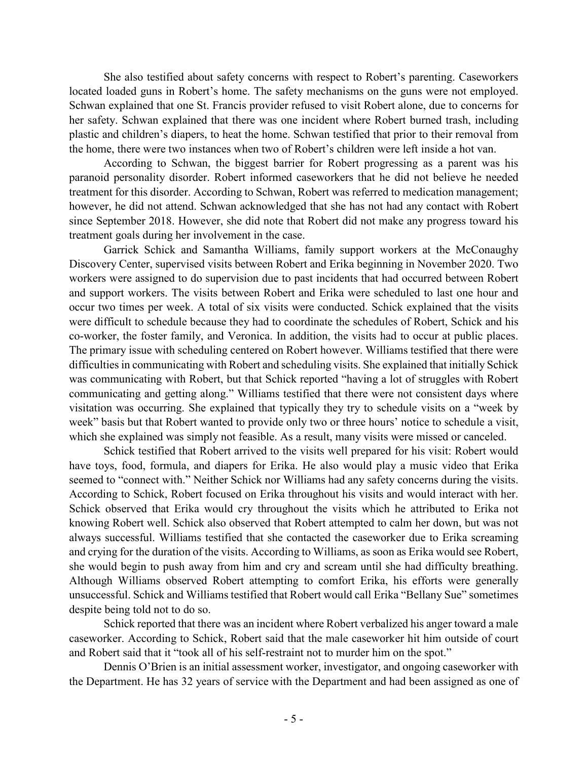She also testified about safety concerns with respect to Robert's parenting. Caseworkers located loaded guns in Robert's home. The safety mechanisms on the guns were not employed. Schwan explained that one St. Francis provider refused to visit Robert alone, due to concerns for her safety. Schwan explained that there was one incident where Robert burned trash, including plastic and children's diapers, to heat the home. Schwan testified that prior to their removal from the home, there were two instances when two of Robert's children were left inside a hot van.

According to Schwan, the biggest barrier for Robert progressing as a parent was his paranoid personality disorder. Robert informed caseworkers that he did not believe he needed treatment for this disorder. According to Schwan, Robert was referred to medication management; however, he did not attend. Schwan acknowledged that she has not had any contact with Robert since September 2018. However, she did note that Robert did not make any progress toward his treatment goals during her involvement in the case.

Garrick Schick and Samantha Williams, family support workers at the McConaughy Discovery Center, supervised visits between Robert and Erika beginning in November 2020. Two workers were assigned to do supervision due to past incidents that had occurred between Robert and support workers. The visits between Robert and Erika were scheduled to last one hour and occur two times per week. A total of six visits were conducted. Schick explained that the visits were difficult to schedule because they had to coordinate the schedules of Robert, Schick and his co-worker, the foster family, and Veronica. In addition, the visits had to occur at public places. The primary issue with scheduling centered on Robert however. Williams testified that there were difficulties in communicating with Robert and scheduling visits. She explained that initially Schick was communicating with Robert, but that Schick reported "having a lot of struggles with Robert communicating and getting along." Williams testified that there were not consistent days where visitation was occurring. She explained that typically they try to schedule visits on a "week by week" basis but that Robert wanted to provide only two or three hours' notice to schedule a visit, which she explained was simply not feasible. As a result, many visits were missed or canceled.

Schick testified that Robert arrived to the visits well prepared for his visit: Robert would have toys, food, formula, and diapers for Erika. He also would play a music video that Erika seemed to "connect with." Neither Schick nor Williams had any safety concerns during the visits. According to Schick, Robert focused on Erika throughout his visits and would interact with her. Schick observed that Erika would cry throughout the visits which he attributed to Erika not knowing Robert well. Schick also observed that Robert attempted to calm her down, but was not always successful. Williams testified that she contacted the caseworker due to Erika screaming and crying for the duration of the visits. According to Williams, as soon as Erika would see Robert, she would begin to push away from him and cry and scream until she had difficulty breathing. Although Williams observed Robert attempting to comfort Erika, his efforts were generally unsuccessful. Schick and Williams testified that Robert would call Erika "Bellany Sue" sometimes despite being told not to do so.

Schick reported that there was an incident where Robert verbalized his anger toward a male caseworker. According to Schick, Robert said that the male caseworker hit him outside of court and Robert said that it "took all of his self-restraint not to murder him on the spot."

Dennis O'Brien is an initial assessment worker, investigator, and ongoing caseworker with the Department. He has 32 years of service with the Department and had been assigned as one of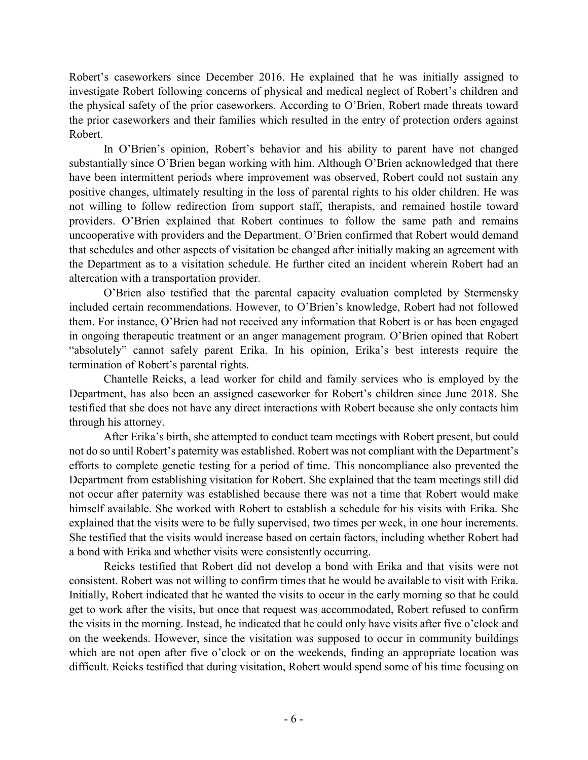Robert's caseworkers since December 2016. He explained that he was initially assigned to investigate Robert following concerns of physical and medical neglect of Robert's children and the physical safety of the prior caseworkers. According to O'Brien, Robert made threats toward the prior caseworkers and their families which resulted in the entry of protection orders against Robert.

In O'Brien's opinion, Robert's behavior and his ability to parent have not changed substantially since O'Brien began working with him. Although O'Brien acknowledged that there have been intermittent periods where improvement was observed, Robert could not sustain any positive changes, ultimately resulting in the loss of parental rights to his older children. He was not willing to follow redirection from support staff, therapists, and remained hostile toward providers. O'Brien explained that Robert continues to follow the same path and remains uncooperative with providers and the Department. O'Brien confirmed that Robert would demand that schedules and other aspects of visitation be changed after initially making an agreement with the Department as to a visitation schedule. He further cited an incident wherein Robert had an altercation with a transportation provider.

O'Brien also testified that the parental capacity evaluation completed by Stermensky included certain recommendations. However, to O'Brien's knowledge, Robert had not followed them. For instance, O'Brien had not received any information that Robert is or has been engaged in ongoing therapeutic treatment or an anger management program. O'Brien opined that Robert "absolutely" cannot safely parent Erika. In his opinion, Erika's best interests require the termination of Robert's parental rights.

Chantelle Reicks, a lead worker for child and family services who is employed by the Department, has also been an assigned caseworker for Robert's children since June 2018. She testified that she does not have any direct interactions with Robert because she only contacts him through his attorney.

After Erika's birth, she attempted to conduct team meetings with Robert present, but could not do so until Robert's paternity was established. Robert was not compliant with the Department's efforts to complete genetic testing for a period of time. This noncompliance also prevented the Department from establishing visitation for Robert. She explained that the team meetings still did not occur after paternity was established because there was not a time that Robert would make himself available. She worked with Robert to establish a schedule for his visits with Erika. She explained that the visits were to be fully supervised, two times per week, in one hour increments. She testified that the visits would increase based on certain factors, including whether Robert had a bond with Erika and whether visits were consistently occurring.

Reicks testified that Robert did not develop a bond with Erika and that visits were not consistent. Robert was not willing to confirm times that he would be available to visit with Erika. Initially, Robert indicated that he wanted the visits to occur in the early morning so that he could get to work after the visits, but once that request was accommodated, Robert refused to confirm the visits in the morning. Instead, he indicated that he could only have visits after five o'clock and on the weekends. However, since the visitation was supposed to occur in community buildings which are not open after five o'clock or on the weekends, finding an appropriate location was difficult. Reicks testified that during visitation, Robert would spend some of his time focusing on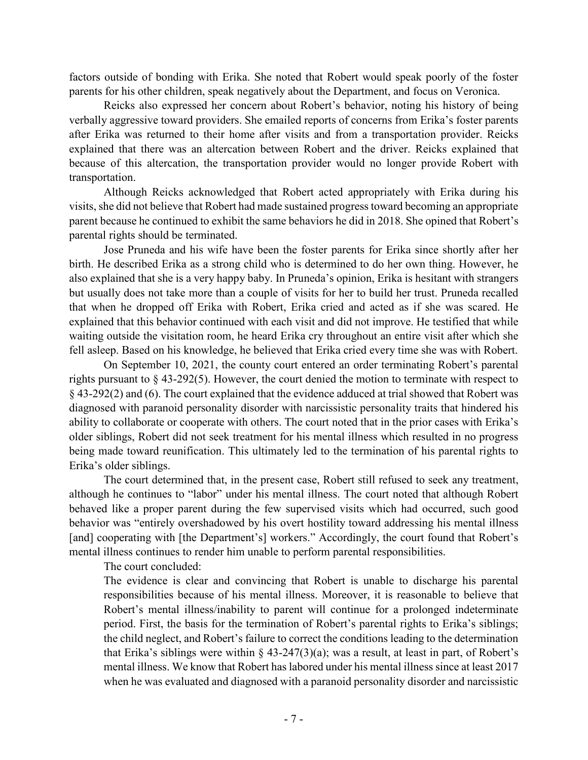factors outside of bonding with Erika. She noted that Robert would speak poorly of the foster parents for his other children, speak negatively about the Department, and focus on Veronica.

Reicks also expressed her concern about Robert's behavior, noting his history of being verbally aggressive toward providers. She emailed reports of concerns from Erika's foster parents after Erika was returned to their home after visits and from a transportation provider. Reicks explained that there was an altercation between Robert and the driver. Reicks explained that because of this altercation, the transportation provider would no longer provide Robert with transportation.

Although Reicks acknowledged that Robert acted appropriately with Erika during his visits, she did not believe that Robert had made sustained progress toward becoming an appropriate parent because he continued to exhibit the same behaviors he did in 2018. She opined that Robert's parental rights should be terminated.

Jose Pruneda and his wife have been the foster parents for Erika since shortly after her birth. He described Erika as a strong child who is determined to do her own thing. However, he also explained that she is a very happy baby. In Pruneda's opinion, Erika is hesitant with strangers but usually does not take more than a couple of visits for her to build her trust. Pruneda recalled that when he dropped off Erika with Robert, Erika cried and acted as if she was scared. He explained that this behavior continued with each visit and did not improve. He testified that while waiting outside the visitation room, he heard Erika cry throughout an entire visit after which she fell asleep. Based on his knowledge, he believed that Erika cried every time she was with Robert.

On September 10, 2021, the county court entered an order terminating Robert's parental rights pursuant to § 43-292(5). However, the court denied the motion to terminate with respect to § 43-292(2) and (6). The court explained that the evidence adduced at trial showed that Robert was diagnosed with paranoid personality disorder with narcissistic personality traits that hindered his ability to collaborate or cooperate with others. The court noted that in the prior cases with Erika's older siblings, Robert did not seek treatment for his mental illness which resulted in no progress being made toward reunification. This ultimately led to the termination of his parental rights to Erika's older siblings.

The court determined that, in the present case, Robert still refused to seek any treatment, although he continues to "labor" under his mental illness. The court noted that although Robert behaved like a proper parent during the few supervised visits which had occurred, such good behavior was "entirely overshadowed by his overt hostility toward addressing his mental illness [and] cooperating with [the Department's] workers." Accordingly, the court found that Robert's mental illness continues to render him unable to perform parental responsibilities.

The court concluded:

The evidence is clear and convincing that Robert is unable to discharge his parental responsibilities because of his mental illness. Moreover, it is reasonable to believe that Robert's mental illness/inability to parent will continue for a prolonged indeterminate period. First, the basis for the termination of Robert's parental rights to Erika's siblings; the child neglect, and Robert's failure to correct the conditions leading to the determination that Erika's siblings were within  $\S$  43-247(3)(a); was a result, at least in part, of Robert's mental illness. We know that Robert has labored under his mental illness since at least 2017 when he was evaluated and diagnosed with a paranoid personality disorder and narcissistic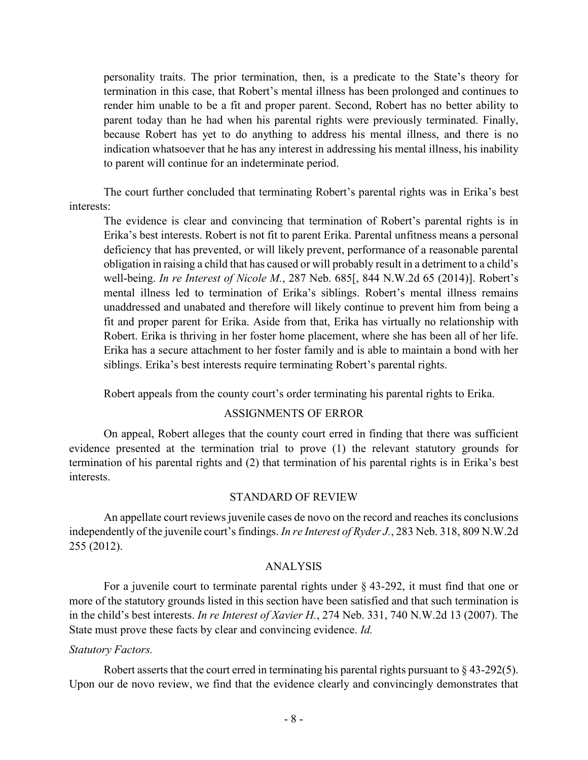personality traits. The prior termination, then, is a predicate to the State's theory for termination in this case, that Robert's mental illness has been prolonged and continues to render him unable to be a fit and proper parent. Second, Robert has no better ability to parent today than he had when his parental rights were previously terminated. Finally, because Robert has yet to do anything to address his mental illness, and there is no indication whatsoever that he has any interest in addressing his mental illness, his inability to parent will continue for an indeterminate period.

The court further concluded that terminating Robert's parental rights was in Erika's best interests:

The evidence is clear and convincing that termination of Robert's parental rights is in Erika's best interests. Robert is not fit to parent Erika. Parental unfitness means a personal deficiency that has prevented, or will likely prevent, performance of a reasonable parental obligation in raising a child that has caused or will probably result in a detriment to a child's well-being. *In re Interest of Nicole M.*, 287 Neb. 685[, 844 N.W.2d 65 (2014)]. Robert's mental illness led to termination of Erika's siblings. Robert's mental illness remains unaddressed and unabated and therefore will likely continue to prevent him from being a fit and proper parent for Erika. Aside from that, Erika has virtually no relationship with Robert. Erika is thriving in her foster home placement, where she has been all of her life. Erika has a secure attachment to her foster family and is able to maintain a bond with her siblings. Erika's best interests require terminating Robert's parental rights.

Robert appeals from the county court's order terminating his parental rights to Erika.

#### ASSIGNMENTS OF ERROR

On appeal, Robert alleges that the county court erred in finding that there was sufficient evidence presented at the termination trial to prove (1) the relevant statutory grounds for termination of his parental rights and (2) that termination of his parental rights is in Erika's best interests.

#### STANDARD OF REVIEW

An appellate court reviews juvenile cases de novo on the record and reaches its conclusions independently of the juvenile court's findings. *In re Interest of Ryder J.*, 283 Neb. 318, 809 N.W.2d 255 (2012).

## ANALYSIS

For a juvenile court to terminate parental rights under  $\S$  43-292, it must find that one or more of the statutory grounds listed in this section have been satisfied and that such termination is in the child's best interests. *In re Interest of Xavier H.*, 274 Neb. 331, 740 N.W.2d 13 (2007). The State must prove these facts by clear and convincing evidence. *Id.*

#### *Statutory Factors.*

Robert asserts that the court erred in terminating his parental rights pursuant to § 43-292(5). Upon our de novo review, we find that the evidence clearly and convincingly demonstrates that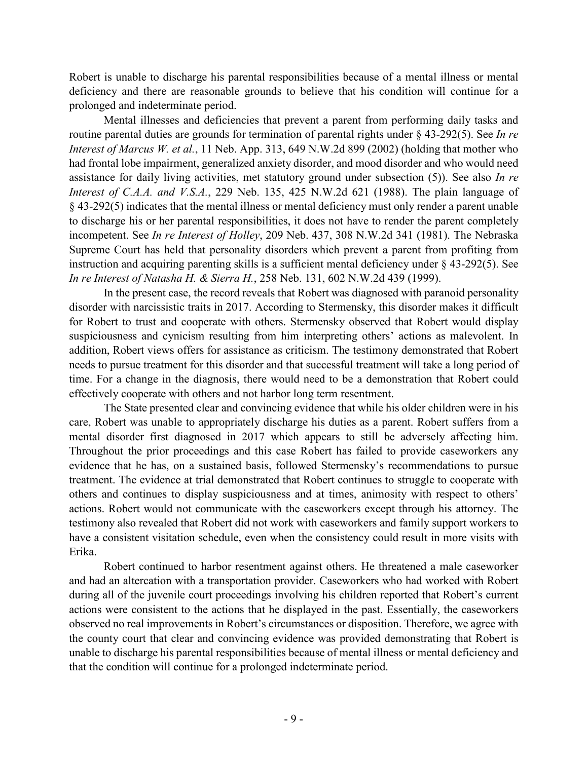Robert is unable to discharge his parental responsibilities because of a mental illness or mental deficiency and there are reasonable grounds to believe that his condition will continue for a prolonged and indeterminate period.

Mental illnesses and deficiencies that prevent a parent from performing daily tasks and routine parental duties are grounds for termination of parental rights under § 43-292(5). See *In re Interest of Marcus W. et al.*, 11 Neb. App. 313, 649 N.W.2d 899 (2002) (holding that mother who had frontal lobe impairment, generalized anxiety disorder, and mood disorder and who would need assistance for daily living activities, met statutory ground under subsection (5)). See also *In re Interest of C.A.A. and V.S.A.*, 229 Neb. 135, 425 N.W.2d 621 (1988). The plain language of § 43-292(5) indicates that the mental illness or mental deficiency must only render a parent unable to discharge his or her parental responsibilities, it does not have to render the parent completely incompetent. See *In re Interest of Holley*, 209 Neb. 437, 308 N.W.2d 341 (1981). The Nebraska Supreme Court has held that personality disorders which prevent a parent from profiting from instruction and acquiring parenting skills is a sufficient mental deficiency under § 43-292(5). See *In re Interest of Natasha H. & Sierra H.*, 258 Neb. 131, 602 N.W.2d 439 (1999).

In the present case, the record reveals that Robert was diagnosed with paranoid personality disorder with narcissistic traits in 2017. According to Stermensky, this disorder makes it difficult for Robert to trust and cooperate with others. Stermensky observed that Robert would display suspiciousness and cynicism resulting from him interpreting others' actions as malevolent. In addition, Robert views offers for assistance as criticism. The testimony demonstrated that Robert needs to pursue treatment for this disorder and that successful treatment will take a long period of time. For a change in the diagnosis, there would need to be a demonstration that Robert could effectively cooperate with others and not harbor long term resentment.

The State presented clear and convincing evidence that while his older children were in his care, Robert was unable to appropriately discharge his duties as a parent. Robert suffers from a mental disorder first diagnosed in 2017 which appears to still be adversely affecting him. Throughout the prior proceedings and this case Robert has failed to provide caseworkers any evidence that he has, on a sustained basis, followed Stermensky's recommendations to pursue treatment. The evidence at trial demonstrated that Robert continues to struggle to cooperate with others and continues to display suspiciousness and at times, animosity with respect to others' actions. Robert would not communicate with the caseworkers except through his attorney. The testimony also revealed that Robert did not work with caseworkers and family support workers to have a consistent visitation schedule, even when the consistency could result in more visits with Erika.

Robert continued to harbor resentment against others. He threatened a male caseworker and had an altercation with a transportation provider. Caseworkers who had worked with Robert during all of the juvenile court proceedings involving his children reported that Robert's current actions were consistent to the actions that he displayed in the past. Essentially, the caseworkers observed no real improvements in Robert's circumstances or disposition. Therefore, we agree with the county court that clear and convincing evidence was provided demonstrating that Robert is unable to discharge his parental responsibilities because of mental illness or mental deficiency and that the condition will continue for a prolonged indeterminate period.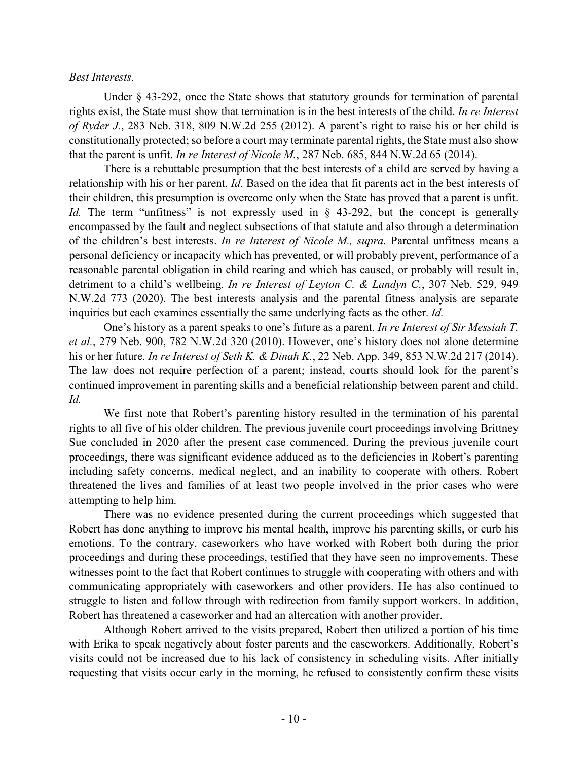### *Best Interests.*

Under § 43-292, once the State shows that statutory grounds for termination of parental rights exist, the State must show that termination is in the best interests of the child. *In re Interest of Ryder J.*, 283 Neb. 318, 809 N.W.2d 255 (2012). A parent's right to raise his or her child is constitutionally protected; so before a court may terminate parental rights, the State must also show that the parent is unfit. *In re Interest of Nicole M.*, 287 Neb. 685, 844 N.W.2d 65 (2014).

There is a rebuttable presumption that the best interests of a child are served by having a relationship with his or her parent. *Id.* Based on the idea that fit parents act in the best interests of their children, this presumption is overcome only when the State has proved that a parent is unfit. *Id.* The term "unfitness" is not expressly used in § 43-292, but the concept is generally encompassed by the fault and neglect subsections of that statute and also through a determination of the children's best interests. *In re Interest of Nicole M., supra.* Parental unfitness means a personal deficiency or incapacity which has prevented, or will probably prevent, performance of a reasonable parental obligation in child rearing and which has caused, or probably will result in, detriment to a child's wellbeing. *In re Interest of Leyton C. & Landyn C.*, 307 Neb. 529, 949 N.W.2d 773 (2020). The best interests analysis and the parental fitness analysis are separate inquiries but each examines essentially the same underlying facts as the other. *Id.*

One's history as a parent speaks to one's future as a parent. *In re Interest of Sir Messiah T. et al.*, 279 Neb. 900, 782 N.W.2d 320 (2010). However, one's history does not alone determine his or her future. *In re Interest of Seth K. & Dinah K.*, 22 Neb. App. 349, 853 N.W.2d 217 (2014). The law does not require perfection of a parent; instead, courts should look for the parent's continued improvement in parenting skills and a beneficial relationship between parent and child. *Id.*

We first note that Robert's parenting history resulted in the termination of his parental rights to all five of his older children. The previous juvenile court proceedings involving Brittney Sue concluded in 2020 after the present case commenced. During the previous juvenile court proceedings, there was significant evidence adduced as to the deficiencies in Robert's parenting including safety concerns, medical neglect, and an inability to cooperate with others. Robert threatened the lives and families of at least two people involved in the prior cases who were attempting to help him.

There was no evidence presented during the current proceedings which suggested that Robert has done anything to improve his mental health, improve his parenting skills, or curb his emotions. To the contrary, caseworkers who have worked with Robert both during the prior proceedings and during these proceedings, testified that they have seen no improvements. These witnesses point to the fact that Robert continues to struggle with cooperating with others and with communicating appropriately with caseworkers and other providers. He has also continued to struggle to listen and follow through with redirection from family support workers. In addition, Robert has threatened a caseworker and had an altercation with another provider.

Although Robert arrived to the visits prepared, Robert then utilized a portion of his time with Erika to speak negatively about foster parents and the caseworkers. Additionally, Robert's visits could not be increased due to his lack of consistency in scheduling visits. After initially requesting that visits occur early in the morning, he refused to consistently confirm these visits